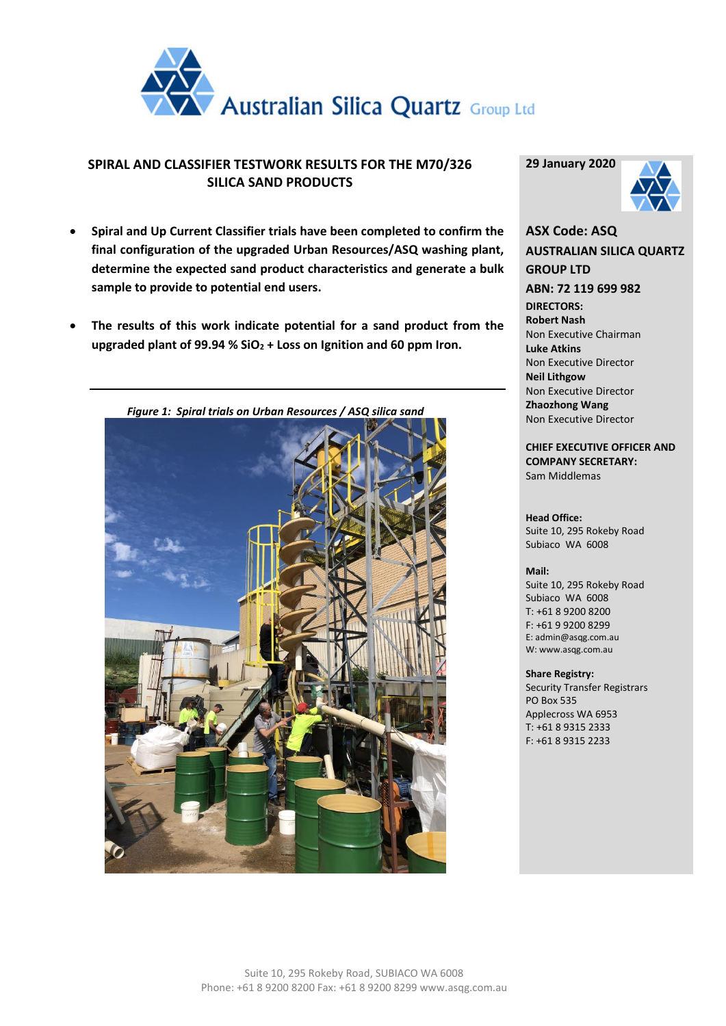

## **SPIRAL AND CLASSIFIER TESTWORK RESULTS FOR THE M70/326 SILICA SAND PRODUCTS**

- **Spiral and Up Current Classifier trials have been completed to confirm the final configuration of the upgraded Urban Resources/ASQ washing plant, determine the expected sand product characteristics and generate a bulk sample to provide to potential end users.**
- **The results of this work indicate potential for a sand product from the upgraded plant of 99.94 % SiO<sup>2</sup> + Loss on Ignition and 60 ppm Iron.**



**29 January 2020**



**ASX Code: ASQ AUSTRALIAN SILICA QUARTZ GROUP LTD ABN: 72 119 699 982 DIRECTORS: Robert Nash** Non Executive Chairman **Luke Atkins**  Non Executive Director **Neil Lithgow** Non Executive Director **Zhaozhong Wang** Non Executive Director

**CHIEF EXECUTIVE OFFICER AND COMPANY SECRETARY:** Sam Middlemas

**Head Office:** Suite 10, 295 Rokeby Road Subiaco WA 6008

#### **Mail:**

Suite 10, 295 Rokeby Road Subiaco WA 6008 T: +61 8 9200 8200 F: +61 9 9200 8299 E: admin@asqg.com.au W: www.asqg.com.au

#### **Share Registry:**

Security Transfer Registrars PO Box 535 Applecross WA 6953 T: +61 8 9315 2333 F: +61 8 9315 2233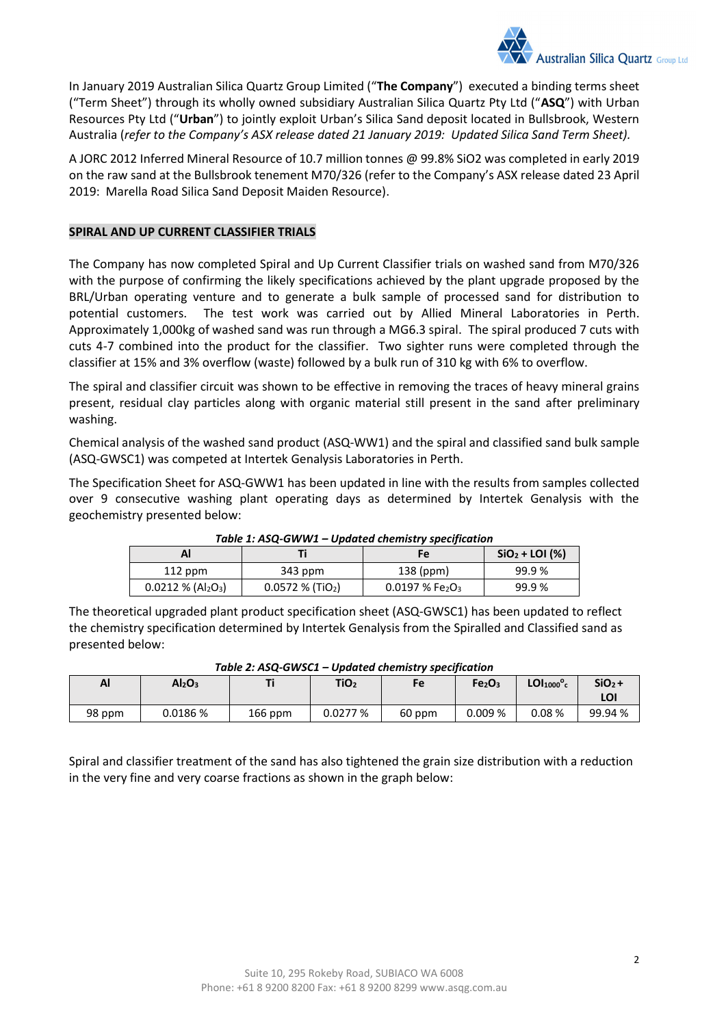

In January 2019 Australian Silica Quartz Group Limited ("**The Company**") executed a binding terms sheet ("Term Sheet") through its wholly owned subsidiary Australian Silica Quartz Pty Ltd ("**ASQ**") with Urban Resources Pty Ltd ("**Urban**") to jointly exploit Urban's Silica Sand deposit located in Bullsbrook, Western Australia (*refer to the Company's ASX release dated 21 January 2019: Updated Silica Sand Term Sheet).*

A JORC 2012 Inferred Mineral Resource of 10.7 million tonnes @ 99.8% SiO2 was completed in early 2019 on the raw sand at the Bullsbrook tenement M70/326 (refer to the Company's ASX release dated 23 April 2019: Marella Road Silica Sand Deposit Maiden Resource).

## **SPIRAL AND UP CURRENT CLASSIFIER TRIALS**

The Company has now completed Spiral and Up Current Classifier trials on washed sand from M70/326 with the purpose of confirming the likely specifications achieved by the plant upgrade proposed by the BRL/Urban operating venture and to generate a bulk sample of processed sand for distribution to potential customers. The test work was carried out by Allied Mineral Laboratories in Perth. Approximately 1,000kg of washed sand was run through a MG6.3 spiral. The spiral produced 7 cuts with cuts 4-7 combined into the product for the classifier. Two sighter runs were completed through the classifier at 15% and 3% overflow (waste) followed by a bulk run of 310 kg with 6% to overflow.

The spiral and classifier circuit was shown to be effective in removing the traces of heavy mineral grains present, residual clay particles along with organic material still present in the sand after preliminary washing.

Chemical analysis of the washed sand product (ASQ-WW1) and the spiral and classified sand bulk sample (ASQ-GWSC1) was competed at Intertek Genalysis Laboratories in Perth.

The Specification Sheet for ASQ-GWW1 has been updated in line with the results from samples collected over 9 consecutive washing plant operating days as determined by Intertek Genalysis with the geochemistry presented below:

| rable 1. ASQ-OW W1 – Opauted chemistry specification |                                |                                          |                  |  |  |  |  |  |  |
|------------------------------------------------------|--------------------------------|------------------------------------------|------------------|--|--|--|--|--|--|
|                                                      |                                | Fe                                       | $SiO2 + LOI (%)$ |  |  |  |  |  |  |
| $112$ ppm                                            | 343 ppm                        |                                          | 99.9 %           |  |  |  |  |  |  |
| $0.0212 \% (Al2O3)$                                  | $0.0572 %$ (TiO <sub>2</sub> ) | $0.0197%$ Fe <sub>2</sub> O <sub>3</sub> | 99.9%            |  |  |  |  |  |  |

### *Table 1: ASQ-GWW1 – Updated chemistry specification*

The theoretical upgraded plant product specification sheet (ASQ-GWSC1) has been updated to reflect the chemistry specification determined by Intertek Genalysis from the Spiralled and Classified sand as presented below:

| $1000C$ and $2000C$<br><u>opauteu chennstry spechneution</u> |                                |           |                  |        |                                |                                    |                 |  |  |
|--------------------------------------------------------------|--------------------------------|-----------|------------------|--------|--------------------------------|------------------------------------|-----------------|--|--|
| Al                                                           | Al <sub>2</sub> O <sub>3</sub> |           | TiO <sub>2</sub> | Fe     | Fe <sub>2</sub> O <sub>3</sub> | LOI <sub>1000</sub> ° <sub>c</sub> | $SiO2 +$<br>LOI |  |  |
| 98 ppm                                                       | 0.0186 %                       | $166$ ppm | 0.0277%          | 60 ppm | 0.009%                         | 0.08%                              | 99.94 %         |  |  |

### *Table 2: ASQ-GWSC1 – Updated chemistry specification*

Spiral and classifier treatment of the sand has also tightened the grain size distribution with a reduction in the very fine and very coarse fractions as shown in the graph below: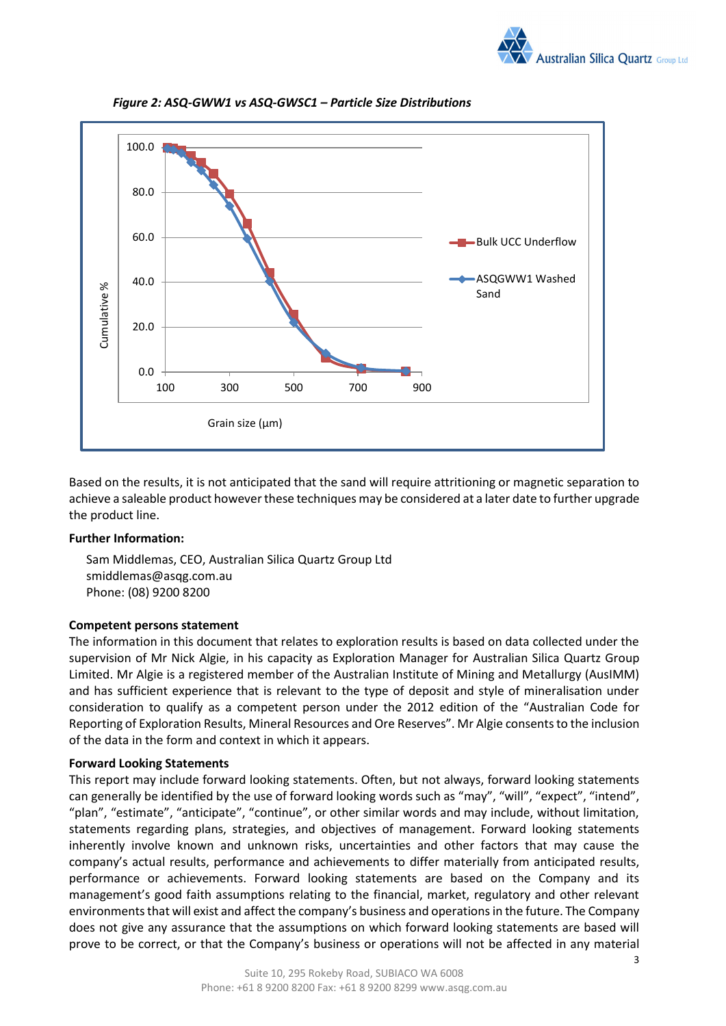



*Figure 2: ASQ-GWW1 vs ASQ-GWSC1 – Particle Size Distributions*

Based on the results, it is not anticipated that the sand will require attritioning or magnetic separation to achieve a saleable product however these techniques may be considered at a later date to further upgrade the product line.

### **Further Information:**

Sam Middlemas, CEO, Australian Silica Quartz Group Ltd smiddlemas@asqg.com.au Phone: (08) 9200 8200

### **Competent persons statement**

The information in this document that relates to exploration results is based on data collected under the supervision of Mr Nick Algie, in his capacity as Exploration Manager for Australian Silica Quartz Group Limited. Mr Algie is a registered member of the Australian Institute of Mining and Metallurgy (AusIMM) and has sufficient experience that is relevant to the type of deposit and style of mineralisation under consideration to qualify as a competent person under the 2012 edition of the "Australian Code for Reporting of Exploration Results, Mineral Resources and Ore Reserves". Mr Algie consents to the inclusion of the data in the form and context in which it appears.

## **Forward Looking Statements**

This report may include forward looking statements. Often, but not always, forward looking statements can generally be identified by the use of forward looking words such as "may", "will", "expect", "intend", "plan", "estimate", "anticipate", "continue", or other similar words and may include, without limitation, statements regarding plans, strategies, and objectives of management. Forward looking statements inherently involve known and unknown risks, uncertainties and other factors that may cause the company's actual results, performance and achievements to differ materially from anticipated results, performance or achievements. Forward looking statements are based on the Company and its management's good faith assumptions relating to the financial, market, regulatory and other relevant environments that will exist and affect the company's business and operations in the future. The Company does not give any assurance that the assumptions on which forward looking statements are based will prove to be correct, or that the Company's business or operations will not be affected in any material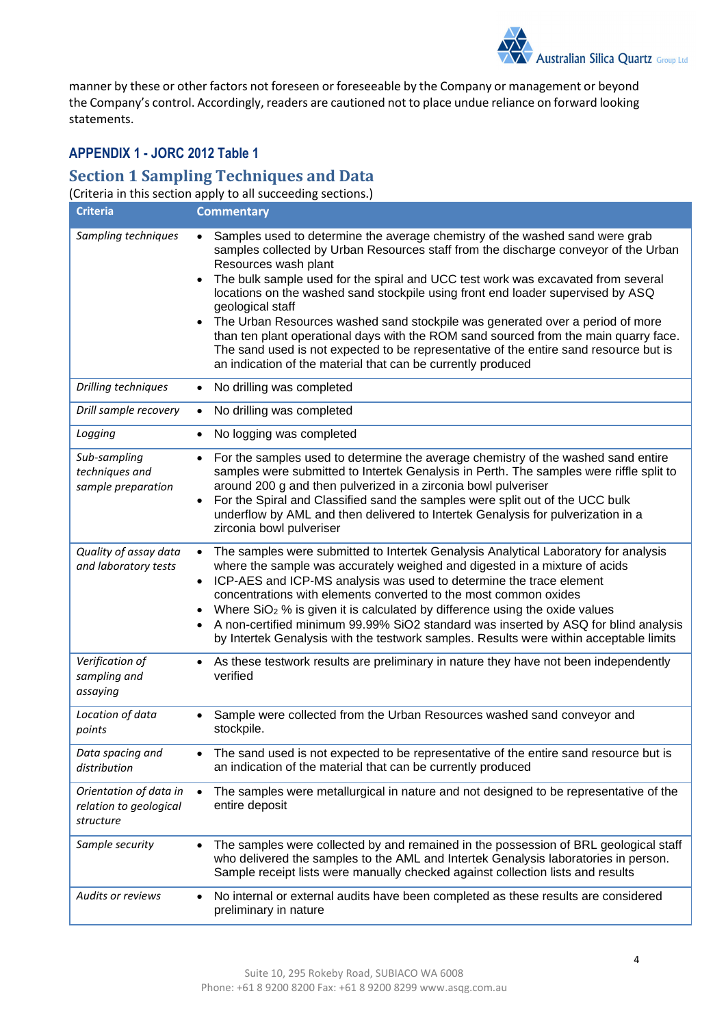

manner by these or other factors not foreseen or foreseeable by the Company or management or beyond the Company's control. Accordingly, readers are cautioned not to place undue reliance on forward looking statements.

## **APPENDIX 1 - JORC 2012 Table 1**

# **Section 1 Sampling Techniques and Data**

(Criteria in this section apply to all succeeding sections.)

| <b>Criteria</b>                                               | <b>Commentary</b>                                                                                                                                                                                                                                                                                                                                                                                                                                                                                                                                                                                                                                                                                                                     |
|---------------------------------------------------------------|---------------------------------------------------------------------------------------------------------------------------------------------------------------------------------------------------------------------------------------------------------------------------------------------------------------------------------------------------------------------------------------------------------------------------------------------------------------------------------------------------------------------------------------------------------------------------------------------------------------------------------------------------------------------------------------------------------------------------------------|
| Sampling techniques                                           | Samples used to determine the average chemistry of the washed sand were grab<br>samples collected by Urban Resources staff from the discharge conveyor of the Urban<br>Resources wash plant<br>The bulk sample used for the spiral and UCC test work was excavated from several<br>$\bullet$<br>locations on the washed sand stockpile using front end loader supervised by ASQ<br>geological staff<br>The Urban Resources washed sand stockpile was generated over a period of more<br>than ten plant operational days with the ROM sand sourced from the main quarry face.<br>The sand used is not expected to be representative of the entire sand resource but is<br>an indication of the material that can be currently produced |
| Drilling techniques                                           | No drilling was completed<br>$\bullet$                                                                                                                                                                                                                                                                                                                                                                                                                                                                                                                                                                                                                                                                                                |
| Drill sample recovery                                         | No drilling was completed<br>$\bullet$                                                                                                                                                                                                                                                                                                                                                                                                                                                                                                                                                                                                                                                                                                |
| Logging                                                       | No logging was completed<br>$\bullet$                                                                                                                                                                                                                                                                                                                                                                                                                                                                                                                                                                                                                                                                                                 |
| Sub-sampling<br>techniques and<br>sample preparation          | For the samples used to determine the average chemistry of the washed sand entire<br>samples were submitted to Intertek Genalysis in Perth. The samples were riffle split to<br>around 200 g and then pulverized in a zirconia bowl pulveriser<br>For the Spiral and Classified sand the samples were split out of the UCC bulk<br>$\bullet$<br>underflow by AML and then delivered to Intertek Genalysis for pulverization in a<br>zirconia bowl pulveriser                                                                                                                                                                                                                                                                          |
| Quality of assay data<br>and laboratory tests                 | The samples were submitted to Intertek Genalysis Analytical Laboratory for analysis<br>$\bullet$<br>where the sample was accurately weighed and digested in a mixture of acids<br>ICP-AES and ICP-MS analysis was used to determine the trace element<br>$\bullet$<br>concentrations with elements converted to the most common oxides<br>Where SiO <sub>2</sub> % is given it is calculated by difference using the oxide values<br>A non-certified minimum 99.99% SiO2 standard was inserted by ASQ for blind analysis<br>by Intertek Genalysis with the testwork samples. Results were within acceptable limits                                                                                                                    |
| Verification of<br>sampling and<br>assaying                   | As these testwork results are preliminary in nature they have not been independently<br>$\bullet$<br>verified                                                                                                                                                                                                                                                                                                                                                                                                                                                                                                                                                                                                                         |
| Location of data<br>points                                    | Sample were collected from the Urban Resources washed sand conveyor and<br>stockpile.                                                                                                                                                                                                                                                                                                                                                                                                                                                                                                                                                                                                                                                 |
| Data spacing and<br>distribution                              | The sand used is not expected to be representative of the entire sand resource but is<br>an indication of the material that can be currently produced                                                                                                                                                                                                                                                                                                                                                                                                                                                                                                                                                                                 |
| Orientation of data in<br>relation to geological<br>structure | The samples were metallurgical in nature and not designed to be representative of the<br>entire deposit                                                                                                                                                                                                                                                                                                                                                                                                                                                                                                                                                                                                                               |
| Sample security                                               | The samples were collected by and remained in the possession of BRL geological staff<br>$\bullet$<br>who delivered the samples to the AML and Intertek Genalysis laboratories in person.<br>Sample receipt lists were manually checked against collection lists and results                                                                                                                                                                                                                                                                                                                                                                                                                                                           |
| Audits or reviews                                             | No internal or external audits have been completed as these results are considered<br>$\bullet$<br>preliminary in nature                                                                                                                                                                                                                                                                                                                                                                                                                                                                                                                                                                                                              |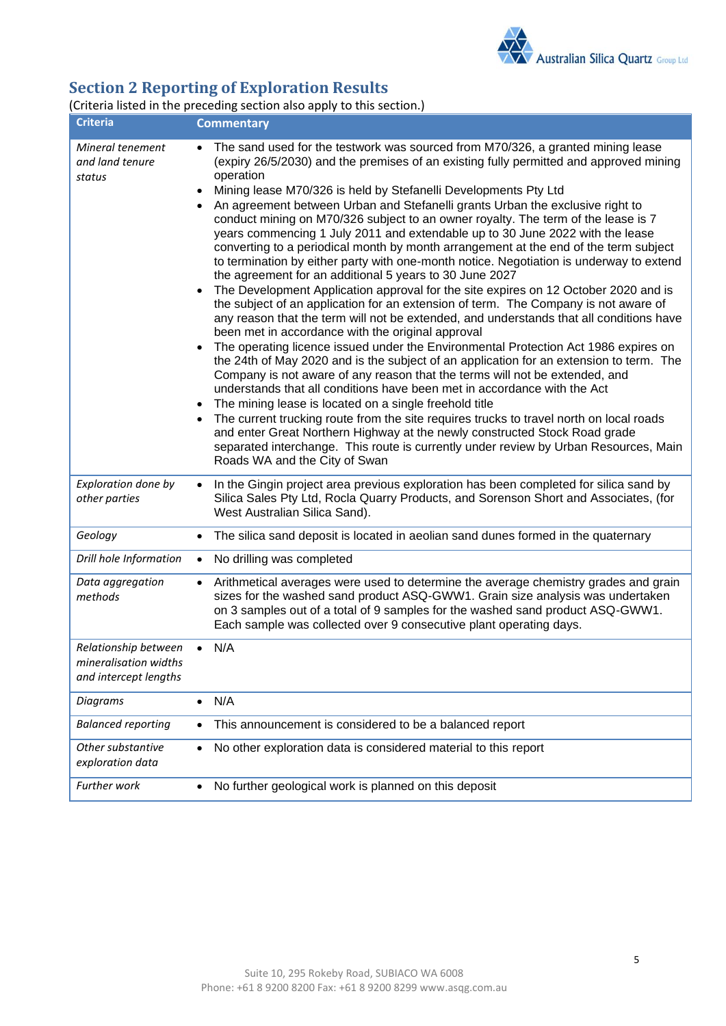

# **Section 2 Reporting of Exploration Results**

## (Criteria listed in the preceding section also apply to this section.)

| <b>Criteria</b>                                                        | <b>Commentary</b>                                                                                                                                                                                                                                                                                                                                                                                                                                                                                                                                                                                                                                                                                                                                                                                                                                                                                                                                                                                                                                                                                                                                                                                                                                                                                                                                                                                                                                                                                                                                                                                                                                                                                                                                                                                                                            |
|------------------------------------------------------------------------|----------------------------------------------------------------------------------------------------------------------------------------------------------------------------------------------------------------------------------------------------------------------------------------------------------------------------------------------------------------------------------------------------------------------------------------------------------------------------------------------------------------------------------------------------------------------------------------------------------------------------------------------------------------------------------------------------------------------------------------------------------------------------------------------------------------------------------------------------------------------------------------------------------------------------------------------------------------------------------------------------------------------------------------------------------------------------------------------------------------------------------------------------------------------------------------------------------------------------------------------------------------------------------------------------------------------------------------------------------------------------------------------------------------------------------------------------------------------------------------------------------------------------------------------------------------------------------------------------------------------------------------------------------------------------------------------------------------------------------------------------------------------------------------------------------------------------------------------|
| Mineral tenement<br>and land tenure<br>status                          | The sand used for the testwork was sourced from M70/326, a granted mining lease<br>(expiry 26/5/2030) and the premises of an existing fully permitted and approved mining<br>operation<br>Mining lease M70/326 is held by Stefanelli Developments Pty Ltd<br>$\bullet$<br>An agreement between Urban and Stefanelli grants Urban the exclusive right to<br>$\bullet$<br>conduct mining on M70/326 subject to an owner royalty. The term of the lease is 7<br>years commencing 1 July 2011 and extendable up to 30 June 2022 with the lease<br>converting to a periodical month by month arrangement at the end of the term subject<br>to termination by either party with one-month notice. Negotiation is underway to extend<br>the agreement for an additional 5 years to 30 June 2027<br>The Development Application approval for the site expires on 12 October 2020 and is<br>the subject of an application for an extension of term. The Company is not aware of<br>any reason that the term will not be extended, and understands that all conditions have<br>been met in accordance with the original approval<br>The operating licence issued under the Environmental Protection Act 1986 expires on<br>the 24th of May 2020 and is the subject of an application for an extension to term. The<br>Company is not aware of any reason that the terms will not be extended, and<br>understands that all conditions have been met in accordance with the Act<br>The mining lease is located on a single freehold title<br>The current trucking route from the site requires trucks to travel north on local roads<br>$\bullet$<br>and enter Great Northern Highway at the newly constructed Stock Road grade<br>separated interchange. This route is currently under review by Urban Resources, Main<br>Roads WA and the City of Swan |
| Exploration done by<br>other parties                                   | In the Gingin project area previous exploration has been completed for silica sand by<br>$\bullet$<br>Silica Sales Pty Ltd, Rocla Quarry Products, and Sorenson Short and Associates, (for<br>West Australian Silica Sand).                                                                                                                                                                                                                                                                                                                                                                                                                                                                                                                                                                                                                                                                                                                                                                                                                                                                                                                                                                                                                                                                                                                                                                                                                                                                                                                                                                                                                                                                                                                                                                                                                  |
| Geology                                                                | The silica sand deposit is located in aeolian sand dunes formed in the quaternary<br>$\bullet$                                                                                                                                                                                                                                                                                                                                                                                                                                                                                                                                                                                                                                                                                                                                                                                                                                                                                                                                                                                                                                                                                                                                                                                                                                                                                                                                                                                                                                                                                                                                                                                                                                                                                                                                               |
| Drill hole Information                                                 | No drilling was completed<br>$\bullet$                                                                                                                                                                                                                                                                                                                                                                                                                                                                                                                                                                                                                                                                                                                                                                                                                                                                                                                                                                                                                                                                                                                                                                                                                                                                                                                                                                                                                                                                                                                                                                                                                                                                                                                                                                                                       |
| Data aggregation<br>methods                                            | Arithmetical averages were used to determine the average chemistry grades and grain<br>sizes for the washed sand product ASQ-GWW1. Grain size analysis was undertaken<br>on 3 samples out of a total of 9 samples for the washed sand product ASQ-GWW1.<br>Each sample was collected over 9 consecutive plant operating days.                                                                                                                                                                                                                                                                                                                                                                                                                                                                                                                                                                                                                                                                                                                                                                                                                                                                                                                                                                                                                                                                                                                                                                                                                                                                                                                                                                                                                                                                                                                |
| Relationship between<br>mineralisation widths<br>and intercept lengths | N/A<br>$\bullet$                                                                                                                                                                                                                                                                                                                                                                                                                                                                                                                                                                                                                                                                                                                                                                                                                                                                                                                                                                                                                                                                                                                                                                                                                                                                                                                                                                                                                                                                                                                                                                                                                                                                                                                                                                                                                             |
| <b>Diagrams</b>                                                        | N/A<br>$\bullet$                                                                                                                                                                                                                                                                                                                                                                                                                                                                                                                                                                                                                                                                                                                                                                                                                                                                                                                                                                                                                                                                                                                                                                                                                                                                                                                                                                                                                                                                                                                                                                                                                                                                                                                                                                                                                             |
| <b>Balanced reporting</b>                                              | This announcement is considered to be a balanced report                                                                                                                                                                                                                                                                                                                                                                                                                                                                                                                                                                                                                                                                                                                                                                                                                                                                                                                                                                                                                                                                                                                                                                                                                                                                                                                                                                                                                                                                                                                                                                                                                                                                                                                                                                                      |
| Other substantive<br>exploration data                                  | No other exploration data is considered material to this report<br>$\bullet$                                                                                                                                                                                                                                                                                                                                                                                                                                                                                                                                                                                                                                                                                                                                                                                                                                                                                                                                                                                                                                                                                                                                                                                                                                                                                                                                                                                                                                                                                                                                                                                                                                                                                                                                                                 |
| Further work                                                           | No further geological work is planned on this deposit<br>$\bullet$                                                                                                                                                                                                                                                                                                                                                                                                                                                                                                                                                                                                                                                                                                                                                                                                                                                                                                                                                                                                                                                                                                                                                                                                                                                                                                                                                                                                                                                                                                                                                                                                                                                                                                                                                                           |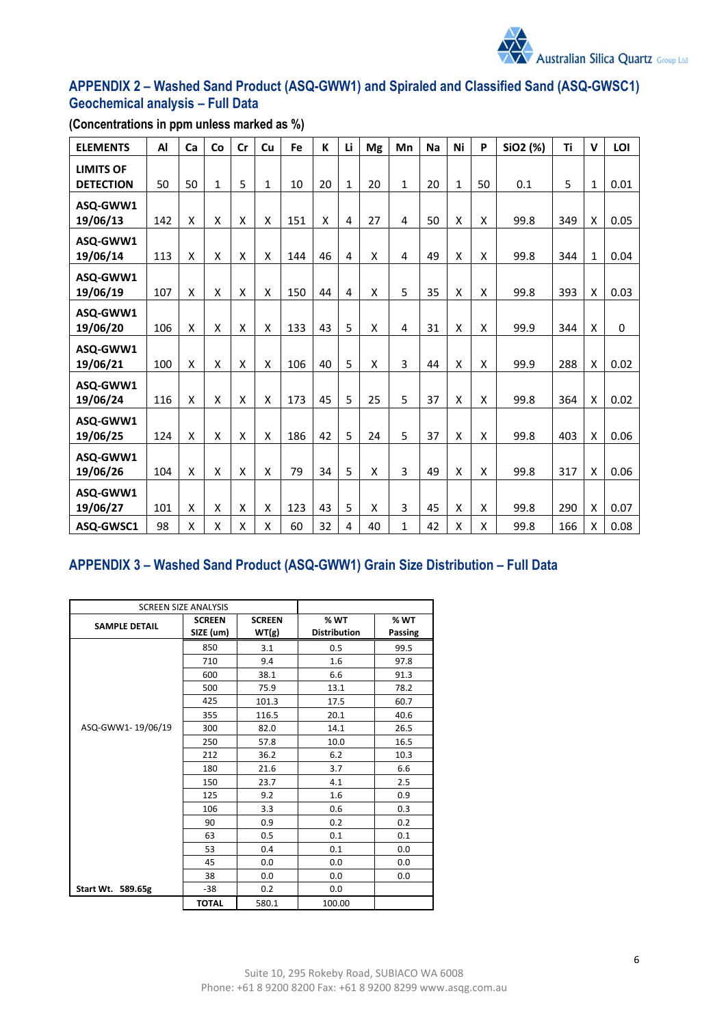

## **APPENDIX 2 – Washed Sand Product (ASQ-GWW1) and Spiraled and Classified Sand (ASQ-GWSC1) Geochemical analysis – Full Data**

| <b>ELEMENTS</b>                      | Al  | Ca | Co                 | Cr | Cu                 | Fe  | К                  | Li | Mg | Mn             | <b>Na</b> | Ni           | P  | SiO2 (%) | Ti  | v            | LOI  |
|--------------------------------------|-----|----|--------------------|----|--------------------|-----|--------------------|----|----|----------------|-----------|--------------|----|----------|-----|--------------|------|
| <b>LIMITS OF</b><br><b>DETECTION</b> | 50  | 50 | 1                  | 5  | $\mathbf{1}$       | 10  | 20                 | 1  | 20 | 1              | 20        | $\mathbf{1}$ | 50 | 0.1      | 5   | $\mathbf{1}$ | 0.01 |
| ASQ-GWW1<br>19/06/13                 | 142 | Χ  | X                  | Χ  | Χ                  | 151 | $\pmb{\mathsf{X}}$ | 4  | 27 | 4              | 50        | Χ            | X  | 99.8     | 349 | X            | 0.05 |
| ASQ-GWW1<br>19/06/14                 | 113 | Χ  | X                  | X  | X                  | 144 | 46                 | 4  | X  | $\overline{4}$ | 49        | X            | X  | 99.8     | 344 | $\mathbf{1}$ | 0.04 |
| ASQ-GWW1<br>19/06/19                 | 107 | X  | X                  | Χ  | $\pmb{\mathsf{X}}$ | 150 | 44                 | 4  | Χ  | 5              | 35        | X            | X  | 99.8     | 393 | Χ            | 0.03 |
| ASQ-GWW1<br>19/06/20                 | 106 | Χ  | X                  | X  | X                  | 133 | 43                 | 5  | X  | 4              | 31        | X            | X  | 99.9     | 344 | X            | 0    |
| ASQ-GWW1<br>19/06/21                 | 100 | Χ  | X                  | X  | X                  | 106 | 40                 | 5  | X  | 3              | 44        | X            | X  | 99.9     | 288 | X            | 0.02 |
| ASQ-GWW1<br>19/06/24                 | 116 | X  | X                  | X  | X                  | 173 | 45                 | 5  | 25 | 5              | 37        | X            | X  | 99.8     | 364 | X            | 0.02 |
| ASQ-GWW1<br>19/06/25                 | 124 | Χ  | X                  | X  | X                  | 186 | 42                 | 5  | 24 | 5              | 37        | X            | X  | 99.8     | 403 | X            | 0.06 |
| ASQ-GWW1<br>19/06/26                 | 104 | X  | X                  | X  | X                  | 79  | 34                 | 5  | X  | 3              | 49        | X            | X  | 99.8     | 317 | X            | 0.06 |
| ASQ-GWW1<br>19/06/27                 | 101 | Χ  | $\pmb{\mathsf{X}}$ | Χ  | Χ                  | 123 | 43                 | 5  | Χ  | 3              | 45        | X            | X  | 99.8     | 290 | Χ            | 0.07 |
| ASQ-GWSC1                            | 98  | Χ  | X                  | X  | Χ                  | 60  | 32                 | 4  | 40 | 1              | 42        | X            | X  | 99.8     | 166 | X            | 0.08 |

**(Concentrations in ppm unless marked as %)**

# **APPENDIX 3 – Washed Sand Product (ASQ-GWW1) Grain Size Distribution – Full Data**

| <b>SCREEN SIZE ANALYSIS</b> |                                                      |       |                             |                 |
|-----------------------------|------------------------------------------------------|-------|-----------------------------|-----------------|
| <b>SAMPLE DETAIL</b>        | <b>SCREEN</b><br><b>SCREEN</b><br>SIZE (um)<br>WT(g) |       | % WT<br><b>Distribution</b> | % WT<br>Passing |
|                             | 850                                                  | 3.1   | 0.5                         | 99.5            |
|                             | 710                                                  | 9.4   | 1.6                         | 97.8            |
|                             | 600                                                  | 38.1  | 6.6                         | 91.3            |
|                             | 500                                                  | 75.9  | 13.1                        | 78.2            |
|                             | 425                                                  | 101.3 | 17.5                        | 60.7            |
|                             | 355                                                  | 116.5 | 20.1                        | 40.6            |
| ASQ-GWW1-19/06/19           | 300                                                  | 82.0  | 14.1                        | 26.5            |
|                             | 250                                                  | 57.8  | 10.0                        | 16.5            |
|                             | 212                                                  | 36.2  | 6.2                         | 10.3            |
|                             | 180                                                  | 21.6  | 3.7                         | 6.6             |
|                             | 150                                                  | 23.7  | 4.1                         | 2.5             |
|                             | 125                                                  | 9.2   | 1.6                         | 0.9             |
|                             | 106                                                  | 3.3   | 0.6                         | 0.3             |
|                             | 90                                                   | 0.9   | 0.2                         | 0.2             |
|                             | 63                                                   | 0.5   | 0.1                         | 0.1             |
|                             | 53                                                   | 0.4   | 0.1                         | 0.0             |
|                             | 45                                                   | 0.0   | 0.0                         | 0.0             |
|                             | 38                                                   | 0.0   | 0.0                         | 0.0             |
| Start Wt. 589.65g           | $-38$                                                | 0.2   | 0.0                         |                 |
|                             | <b>TOTAL</b>                                         | 580.1 | 100.00                      |                 |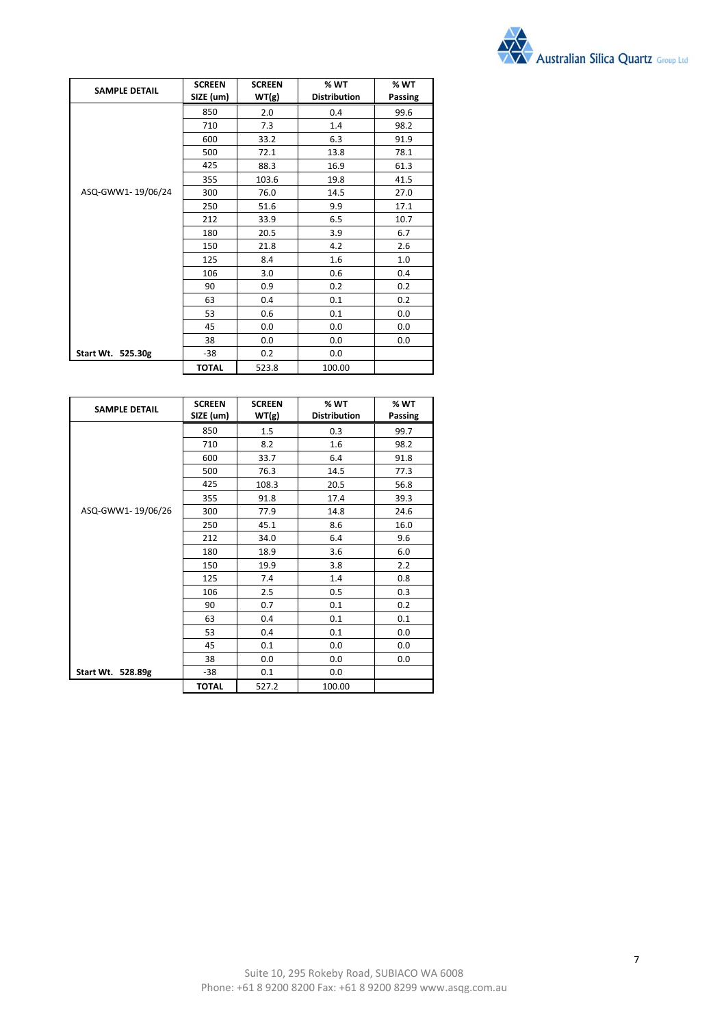

| <b>SAMPLE DETAIL</b> | <b>SCREEN</b><br>SIZE (um) | <b>SCREEN</b><br>WT(g) | % WT<br><b>Distribution</b> | % WT<br>Passing |
|----------------------|----------------------------|------------------------|-----------------------------|-----------------|
|                      | 850                        | 2.0                    | 0.4                         | 99.6            |
|                      | 710                        | 7.3                    | 1.4                         | 98.2            |
|                      | 600                        | 33.2                   | 6.3                         | 91.9            |
|                      | 500                        | 72.1                   | 13.8                        | 78.1            |
|                      | 425                        | 88.3                   | 16.9                        | 61.3            |
|                      | 355                        | 103.6                  | 19.8                        | 41.5            |
| ASQ-GWW1-19/06/24    | 300                        | 76.0                   | 14.5                        | 27.0            |
|                      | 250                        | 51.6                   | 9.9                         | 17.1            |
|                      | 212                        | 33.9                   | 6.5                         | 10.7            |
|                      | 180                        | 20.5                   | 3.9                         | 6.7             |
|                      | 150                        | 21.8                   | 4.2                         | 2.6             |
|                      | 125                        | 8.4                    | 1.6                         | 1.0             |
|                      | 106                        | 3.0                    | 0.6                         | 0.4             |
|                      | 90                         | 0.9                    | 0.2                         | 0.2             |
|                      | 63                         | 0.4                    | 0.1                         | 0.2             |
|                      | 53                         | 0.6                    | 0.1                         | 0.0             |
|                      | 45                         | 0.0                    | 0.0                         | 0.0             |
|                      | 38                         | 0.0                    | 0.0                         | 0.0             |
| Start Wt. 525.30g    | $-38$                      | 0.2                    | 0.0                         |                 |
|                      | <b>TOTAL</b>               | 523.8                  | 100.00                      |                 |

| <b>SAMPLE DETAIL</b> | <b>SCREEN</b><br>SIZE (um) | <b>SCREEN</b><br>WT(g) | % WT<br><b>Distribution</b> | % WT<br>Passing |
|----------------------|----------------------------|------------------------|-----------------------------|-----------------|
|                      | 850                        | 1.5                    | 0.3                         | 99.7            |
|                      | 710                        | 8.2                    | 1.6                         | 98.2            |
|                      | 600                        | 33.7                   | 6.4                         | 91.8            |
|                      | 500                        | 76.3                   | 14.5                        | 77.3            |
|                      | 425                        | 108.3                  | 20.5                        | 56.8            |
|                      | 355                        | 91.8                   | 17.4                        | 39.3            |
| ASQ-GWW1-19/06/26    | 300                        | 77.9                   | 14.8                        | 24.6            |
|                      | 250                        | 45.1                   | 8.6                         | 16.0            |
|                      | 212                        | 34.0                   | 6.4                         | 9.6             |
|                      | 180                        | 18.9                   | 3.6                         | 6.0             |
|                      | 150                        | 19.9                   | 3.8                         | 2.2             |
|                      | 125                        | 7.4                    | 1.4                         | 0.8             |
|                      | 106                        | 2.5                    | 0.5                         | 0.3             |
|                      | 90                         | 0.7                    | 0.1                         | 0.2             |
|                      | 63                         | 0.4                    | 0.1                         | 0.1             |
|                      | 53                         | 0.4                    | 0.1                         | 0.0             |
|                      | 45                         | 0.1                    | 0.0                         | 0.0             |
|                      | 38                         | 0.0                    | 0.0                         | 0.0             |
| Start Wt. 528.89g    | $-38$                      | 0.1                    | 0.0                         |                 |
|                      | <b>TOTAL</b>               | 527.2                  | 100.00                      |                 |